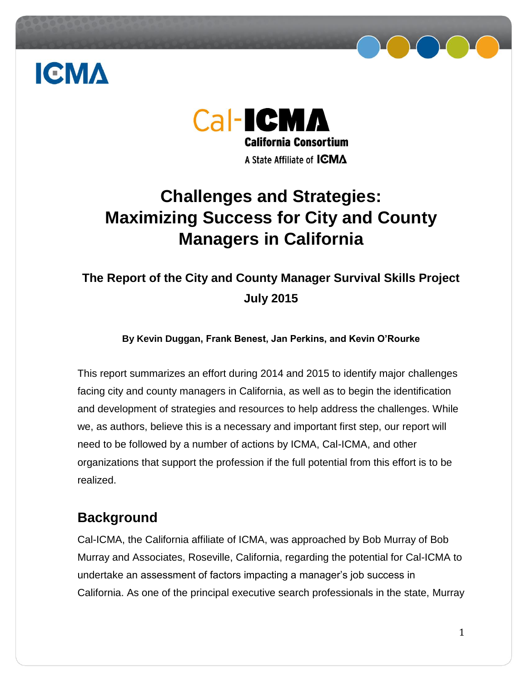



## Cal-ICMA **California Consortium** A State Affiliate of **ICMA**

## **Challenges and Strategies: Maximizing Success for City and County Managers in California**

### **The Report of the City and County Manager Survival Skills Project July 2015**

#### **By Kevin Duggan, Frank Benest, Jan Perkins, and Kevin O'Rourke**

This report summarizes an effort during 2014 and 2015 to identify major challenges facing city and county managers in California, as well as to begin the identification and development of strategies and resources to help address the challenges. While we, as authors, believe this is a necessary and important first step, our report will need to be followed by a number of actions by ICMA, Cal-ICMA, and other organizations that support the profession if the full potential from this effort is to be realized.

### **Background**

Cal-ICMA, the California affiliate of ICMA, was approached by Bob Murray of Bob Murray and Associates, Roseville, California, regarding the potential for Cal-ICMA to undertake an assessment of factors impacting a manager's job success in California. As one of the principal executive search professionals in the state, Murray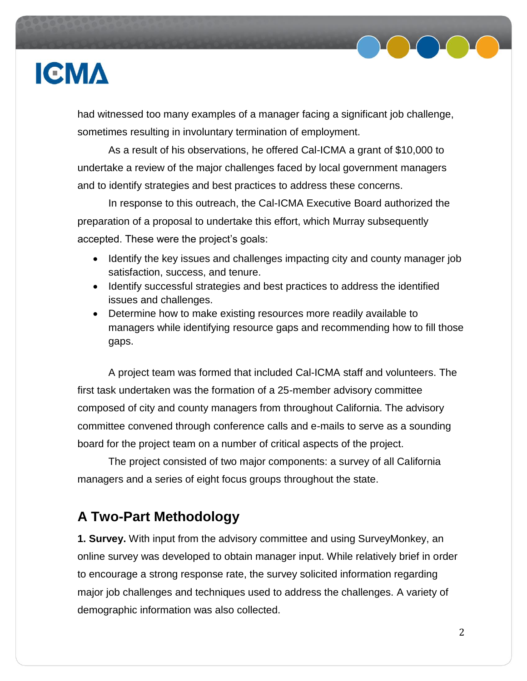

had witnessed too many examples of a manager facing a significant job challenge, sometimes resulting in involuntary termination of employment.

As a result of his observations, he offered Cal-ICMA a grant of \$10,000 to undertake a review of the major challenges faced by local government managers and to identify strategies and best practices to address these concerns.

In response to this outreach, the Cal-ICMA Executive Board authorized the preparation of a proposal to undertake this effort, which Murray subsequently accepted. These were the project's goals:

- Identify the key issues and challenges impacting city and county manager job satisfaction, success, and tenure.
- Identify successful strategies and best practices to address the identified issues and challenges.
- Determine how to make existing resources more readily available to managers while identifying resource gaps and recommending how to fill those gaps.

A project team was formed that included Cal-ICMA staff and volunteers. The first task undertaken was the formation of a 25-member advisory committee composed of city and county managers from throughout California. The advisory committee convened through conference calls and e-mails to serve as a sounding board for the project team on a number of critical aspects of the project.

The project consisted of two major components: a survey of all California managers and a series of eight focus groups throughout the state.

### **A Two-Part Methodology**

**1. Survey.** With input from the advisory committee and using SurveyMonkey, an online survey was developed to obtain manager input. While relatively brief in order to encourage a strong response rate, the survey solicited information regarding major job challenges and techniques used to address the challenges. A variety of demographic information was also collected.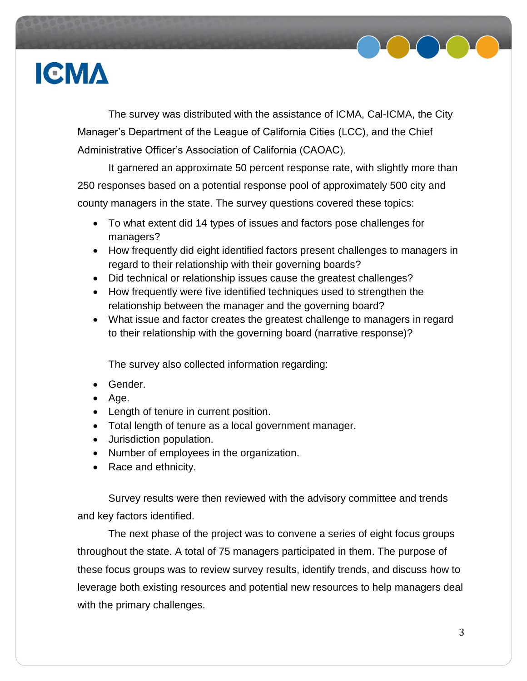

The survey was distributed with the assistance of ICMA, Cal-ICMA, the City Manager's Department of the League of California Cities (LCC), and the Chief Administrative Officer's Association of California (CAOAC).

It garnered an approximate 50 percent response rate, with slightly more than 250 responses based on a potential response pool of approximately 500 city and county managers in the state. The survey questions covered these topics:

- To what extent did 14 types of issues and factors pose challenges for managers?
- How frequently did eight identified factors present challenges to managers in regard to their relationship with their governing boards?
- Did technical or relationship issues cause the greatest challenges?
- How frequently were five identified techniques used to strengthen the relationship between the manager and the governing board?
- What issue and factor creates the greatest challenge to managers in regard to their relationship with the governing board (narrative response)?

The survey also collected information regarding:

- Gender.
- $\bullet$  Age.
- Length of tenure in current position.
- Total length of tenure as a local government manager.
- Jurisdiction population.
- Number of employees in the organization.
- Race and ethnicity.

Survey results were then reviewed with the advisory committee and trends and key factors identified.

The next phase of the project was to convene a series of eight focus groups throughout the state. A total of 75 managers participated in them. The purpose of these focus groups was to review survey results, identify trends, and discuss how to leverage both existing resources and potential new resources to help managers deal with the primary challenges.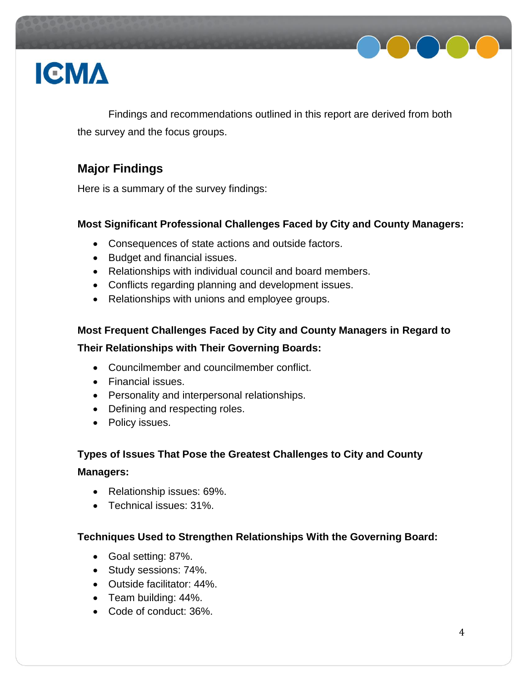

Findings and recommendations outlined in this report are derived from both the survey and the focus groups.

### **Major Findings**

Here is a summary of the survey findings:

#### **Most Significant Professional Challenges Faced by City and County Managers:**

- Consequences of state actions and outside factors.
- Budget and financial issues.
- Relationships with individual council and board members.
- Conflicts regarding planning and development issues.
- Relationships with unions and employee groups.

### **Most Frequent Challenges Faced by City and County Managers in Regard to Their Relationships with Their Governing Boards:**

- Councilmember and councilmember conflict.
- Financial issues.
- Personality and interpersonal relationships.
- Defining and respecting roles.
- Policy issues.

### **Types of Issues That Pose the Greatest Challenges to City and County Managers:**

- Relationship issues: 69%.
- Technical issues: 31%.

#### **Techniques Used to Strengthen Relationships With the Governing Board:**

- Goal setting: 87%.
- Study sessions: 74%.
- Outside facilitator: 44%.
- Team building: 44%.
- Code of conduct: 36%.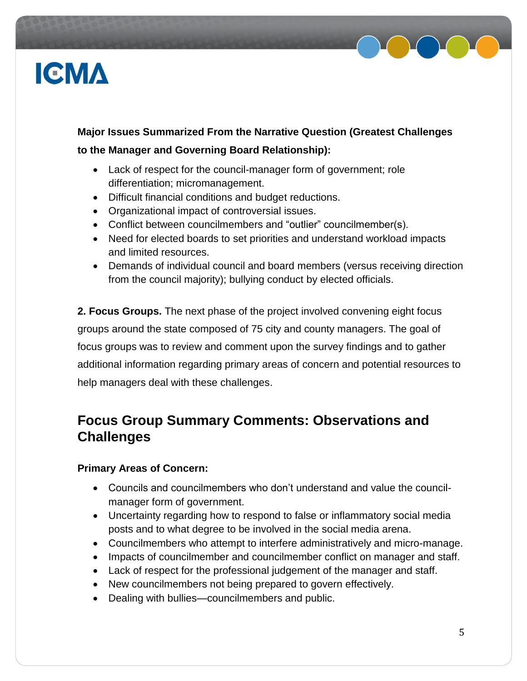

### **Major Issues Summarized From the Narrative Question (Greatest Challenges to the Manager and Governing Board Relationship):**

- Lack of respect for the council-manager form of government; role differentiation; micromanagement.
- Difficult financial conditions and budget reductions.
- Organizational impact of controversial issues.
- Conflict between councilmembers and "outlier" councilmember(s).
- Need for elected boards to set priorities and understand workload impacts and limited resources.
- Demands of individual council and board members (versus receiving direction from the council majority); bullying conduct by elected officials.

**2. Focus Groups.** The next phase of the project involved convening eight focus groups around the state composed of 75 city and county managers. The goal of focus groups was to review and comment upon the survey findings and to gather additional information regarding primary areas of concern and potential resources to help managers deal with these challenges.

### **Focus Group Summary Comments: Observations and Challenges**

#### **Primary Areas of Concern:**

- Councils and councilmembers who don't understand and value the councilmanager form of government.
- Uncertainty regarding how to respond to false or inflammatory social media posts and to what degree to be involved in the social media arena.
- Councilmembers who attempt to interfere administratively and micro-manage.
- Impacts of councilmember and councilmember conflict on manager and staff.
- Lack of respect for the professional judgement of the manager and staff.
- New councilmembers not being prepared to govern effectively.
- Dealing with bullies—councilmembers and public.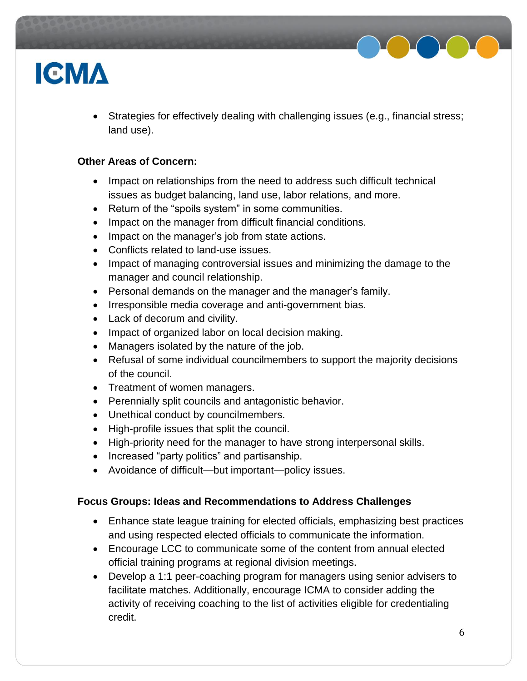

 Strategies for effectively dealing with challenging issues (e.g., financial stress; land use).

#### **Other Areas of Concern:**

- Impact on relationships from the need to address such difficult technical issues as budget balancing, land use, labor relations, and more.
- Return of the "spoils system" in some communities.
- Impact on the manager from difficult financial conditions.
- Impact on the manager's job from state actions.
- Conflicts related to land-use issues.
- Impact of managing controversial issues and minimizing the damage to the manager and council relationship.
- Personal demands on the manager and the manager's family.
- Irresponsible media coverage and anti-government bias.
- Lack of decorum and civility.
- Impact of organized labor on local decision making.
- Managers isolated by the nature of the job.
- Refusal of some individual councilmembers to support the majority decisions of the council.
- Treatment of women managers.
- Perennially split councils and antagonistic behavior.
- Unethical conduct by councilmembers.
- High-profile issues that split the council.
- High-priority need for the manager to have strong interpersonal skills.
- Increased "party politics" and partisanship.
- Avoidance of difficult—but important—policy issues.

#### **Focus Groups: Ideas and Recommendations to Address Challenges**

- Enhance state league training for elected officials, emphasizing best practices and using respected elected officials to communicate the information.
- Encourage LCC to communicate some of the content from annual elected official training programs at regional division meetings.
- Develop a 1:1 peer-coaching program for managers using senior advisers to facilitate matches. Additionally, encourage ICMA to consider adding the activity of receiving coaching to the list of activities eligible for credentialing credit.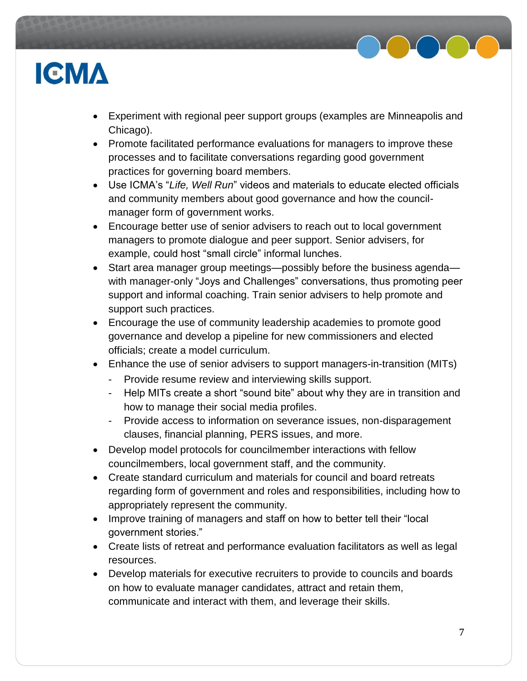

- Experiment with regional peer support groups (examples are Minneapolis and Chicago).
- Promote facilitated performance evaluations for managers to improve these processes and to facilitate conversations regarding good government practices for governing board members.
- Use ICMA's "*Life, Well Run*" videos and materials to educate elected officials and community members about good governance and how the councilmanager form of government works.
- Encourage better use of senior advisers to reach out to local government managers to promote dialogue and peer support. Senior advisers, for example, could host "small circle" informal lunches.
- Start area manager group meetings—possibly before the business agenda with manager-only "Joys and Challenges" conversations, thus promoting peer support and informal coaching. Train senior advisers to help promote and support such practices.
- Encourage the use of community leadership academies to promote good governance and develop a pipeline for new commissioners and elected officials; create a model curriculum.
- Enhance the use of senior advisers to support managers-in-transition (MITs)
	- Provide resume review and interviewing skills support.
	- Help MITs create a short "sound bite" about why they are in transition and how to manage their social media profiles.
	- Provide access to information on severance issues, non-disparagement clauses, financial planning, PERS issues, and more.
- Develop model protocols for councilmember interactions with fellow councilmembers, local government staff, and the community.
- Create standard curriculum and materials for council and board retreats regarding form of government and roles and responsibilities, including how to appropriately represent the community.
- Improve training of managers and staff on how to better tell their "local government stories."
- Create lists of retreat and performance evaluation facilitators as well as legal resources.
- Develop materials for executive recruiters to provide to councils and boards on how to evaluate manager candidates, attract and retain them, communicate and interact with them, and leverage their skills.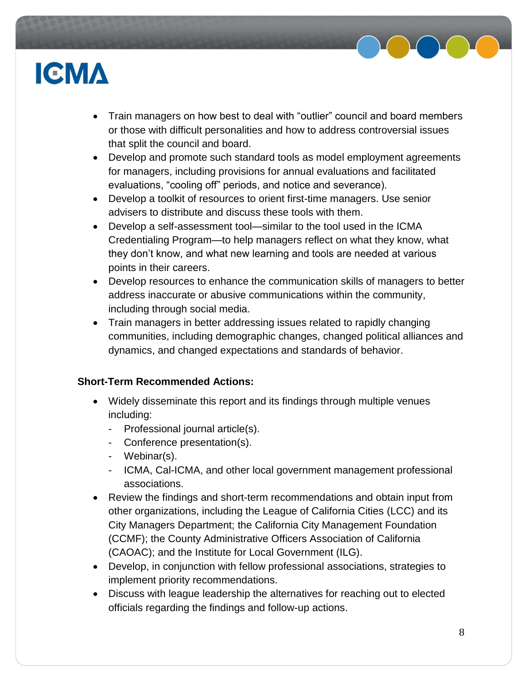

- Train managers on how best to deal with "outlier" council and board members or those with difficult personalities and how to address controversial issues that split the council and board.
- Develop and promote such standard tools as model employment agreements for managers, including provisions for annual evaluations and facilitated evaluations, "cooling off" periods, and notice and severance).
- Develop a toolkit of resources to orient first-time managers. Use senior advisers to distribute and discuss these tools with them.
- Develop a self-assessment tool—similar to the tool used in the ICMA Credentialing Program—to help managers reflect on what they know, what they don't know, and what new learning and tools are needed at various points in their careers.
- Develop resources to enhance the communication skills of managers to better address inaccurate or abusive communications within the community, including through social media.
- Train managers in better addressing issues related to rapidly changing communities, including demographic changes, changed political alliances and dynamics, and changed expectations and standards of behavior.

#### **Short-Term Recommended Actions:**

- Widely disseminate this report and its findings through multiple venues including:
	- Professional journal article(s).
	- Conference presentation(s).
	- Webinar(s).
	- ICMA, Cal-ICMA, and other local government management professional associations.
- Review the findings and short-term recommendations and obtain input from other organizations, including the League of California Cities (LCC) and its City Managers Department; the California City Management Foundation (CCMF); the County Administrative Officers Association of California (CAOAC); and the Institute for Local Government (ILG).
- Develop, in conjunction with fellow professional associations, strategies to implement priority recommendations.
- Discuss with league leadership the alternatives for reaching out to elected officials regarding the findings and follow-up actions.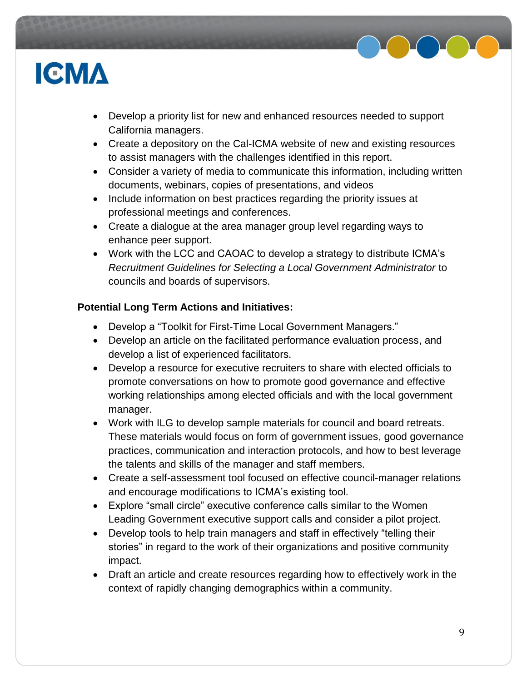

- Develop a priority list for new and enhanced resources needed to support California managers.
- Create a depository on the Cal-ICMA website of new and existing resources to assist managers with the challenges identified in this report.
- Consider a variety of media to communicate this information, including written documents, webinars, copies of presentations, and videos
- Include information on best practices regarding the priority issues at professional meetings and conferences.
- Create a dialogue at the area manager group level regarding ways to enhance peer support.
- Work with the LCC and CAOAC to develop a strategy to distribute ICMA's *Recruitment Guidelines for Selecting a Local Government Administrator* to councils and boards of supervisors.

#### **Potential Long Term Actions and Initiatives:**

- Develop a "Toolkit for First-Time Local Government Managers."
- Develop an article on the facilitated performance evaluation process, and develop a list of experienced facilitators.
- Develop a resource for executive recruiters to share with elected officials to promote conversations on how to promote good governance and effective working relationships among elected officials and with the local government manager.
- Work with ILG to develop sample materials for council and board retreats. These materials would focus on form of government issues, good governance practices, communication and interaction protocols, and how to best leverage the talents and skills of the manager and staff members.
- Create a self-assessment tool focused on effective council-manager relations and encourage modifications to ICMA's existing tool.
- Explore "small circle" executive conference calls similar to the Women Leading Government executive support calls and consider a pilot project.
- Develop tools to help train managers and staff in effectively "telling their stories" in regard to the work of their organizations and positive community impact.
- Draft an article and create resources regarding how to effectively work in the context of rapidly changing demographics within a community.